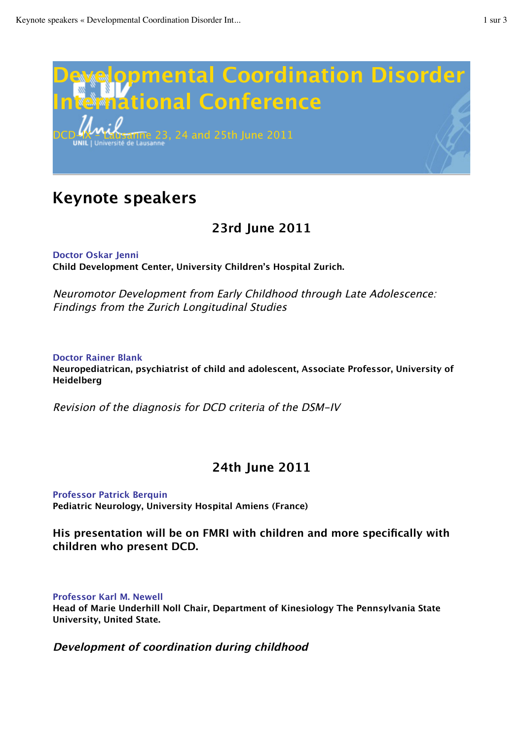

# **Keynote speakers**

# **23rd June 2011**

**Doctor Oskar Jenni Child Development Center, University Children's Hospital Zurich.**

Neuromotor Development from Early Childhood through Late Adolescence: Findings from the Zurich Longitudinal Studies

### **Doctor Rainer Blank Neuropediatrican, psychiatrist of child and adolescent, Associate Professor, University of Heidelberg**

Revision of the diagnosis for DCD criteria of the DSM-IV

# **24th June 2011**

**Professor Patrick Berquin Pediatric Neurology, University Hospital Amiens (France)**

**His presentation will be on FMRI with children and more specifically with children who present DCD.**

**Professor Karl M. Newell**

**Head of Marie Underhill Noll Chair, Department of Kinesiology The Pennsylvania State University, United State.**

### **Development of coordination during childhood**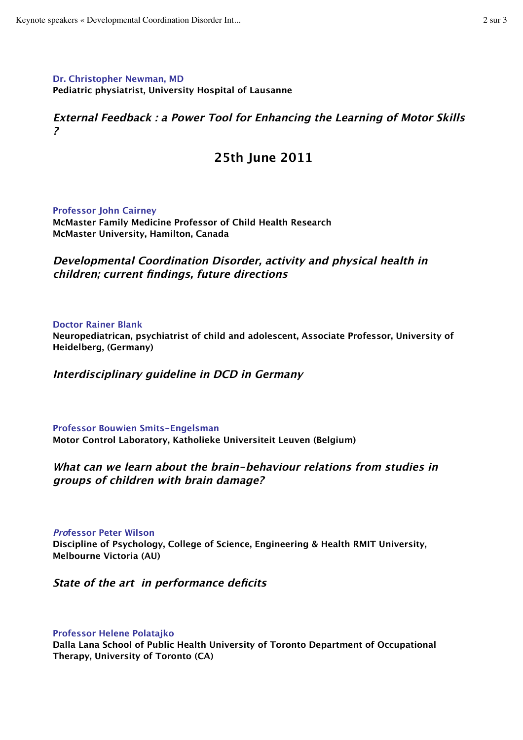**Dr. Christopher Newman, MD Pediatric physiatrist, University Hospital of Lausanne**

**External Feedback : a Power Tool for Enhancing the Learning of Motor Skills ?**

## **25th June 2011**

**Professor John Cairney McMaster Family Medicine Professor of Child Health Research McMaster University, Hamilton, Canada**

**Developmental Coordination Disorder, activity and physical health in children; current findings, future directions**

**Doctor Rainer Blank**

**Neuropediatrican, psychiatrist of child and adolescent, Associate Professor, University of Heidelberg, (Germany)**

**Interdisciplinary guideline in DCD in Germany**

**Professor Bouwien Smits-Engelsman Motor Control Laboratory, Katholieke Universiteit Leuven (Belgium)**

### **What can we learn about the brain-behaviour relations from studies in groups of children with brain damage?**

#### **Professor Peter Wilson**

**Discipline of Psychology, College of Science, Engineering & Health RMIT University, Melbourne Victoria (AU)**

**State of the art in performance deficits**

#### **Professor Helene Polatajko**

**Dalla Lana School of Public Health University of Toronto Department of Occupational Therapy, University of Toronto (CA)**